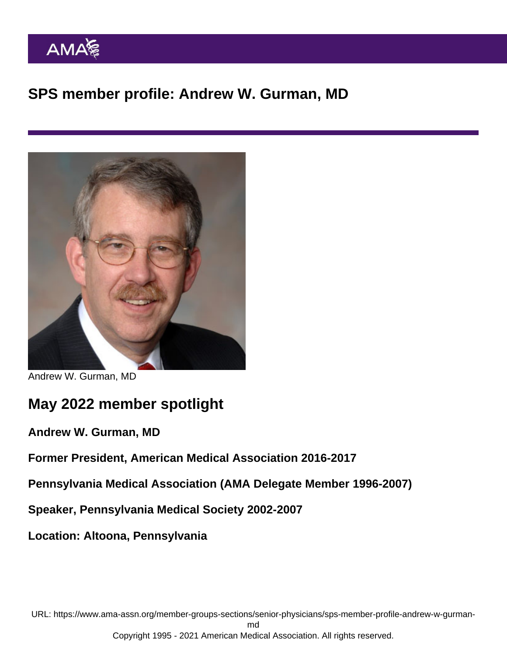SPS member profile: Andrew W. Gurman, MD

Andrew W. Gurman, MD

## May 2022 member spotlight

Andrew W. Gurman, MD

Former President, American Medical Association 2016-2017

Pennsylvania Medical Association (AMA Delegate Member 1996-2007)

Speaker, Pennsylvania Medical Society 2002-2007

Location: Altoona, Pennsylvania

URL: [https://www.ama-assn.org/member-groups-sections/senior-physicians/sps-member-profile-andrew-w-gurman](https://www.ama-assn.org/member-groups-sections/senior-physicians/sps-member-profile-andrew-w-gurman-md)[md](https://www.ama-assn.org/member-groups-sections/senior-physicians/sps-member-profile-andrew-w-gurman-md)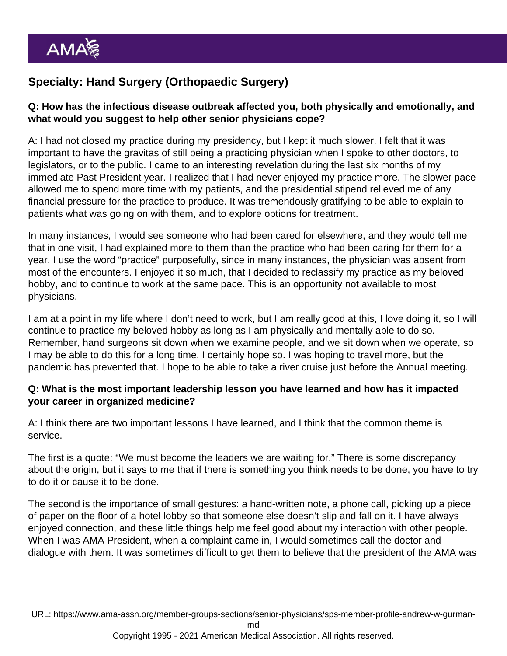## Specialty: Hand Surgery (Orthopaedic Surgery)

Q: How has the infectious disease outbreak affected you, both physically and emotionally, and what would you suggest to help other senior physicians cope?

A: I had not closed my practice during my presidency, but I kept it much slower. I felt that it was important to have the gravitas of still being a practicing physician when I spoke to other doctors, to legislators, or to the public. I came to an interesting revelation during the last six months of my immediate Past President year. I realized that I had never enjoyed my practice more. The slower pace allowed me to spend more time with my patients, and the presidential stipend relieved me of any financial pressure for the practice to produce. It was tremendously gratifying to be able to explain to patients what was going on with them, and to explore options for treatment.

In many instances, I would see someone who had been cared for elsewhere, and they would tell me that in one visit, I had explained more to them than the practice who had been caring for them for a year. I use the word "practice" purposefully, since in many instances, the physician was absent from most of the encounters. I enjoyed it so much, that I decided to reclassify my practice as my beloved hobby, and to continue to work at the same pace. This is an opportunity not available to most physicians.

I am at a point in my life where I don't need to work, but I am really good at this, I love doing it, so I will continue to practice my beloved hobby as long as I am physically and mentally able to do so. Remember, hand surgeons sit down when we examine people, and we sit down when we operate, so I may be able to do this for a long time. I certainly hope so. I was hoping to travel more, but the pandemic has prevented that. I hope to be able to take a river cruise just before the Annual meeting.

Q: What is the most important leadership lesson you have learned and how has it impacted your career in organized medicine?

A: I think there are two important lessons I have learned, and I think that the common theme is service.

The first is a quote: "We must become the leaders we are waiting for." There is some discrepancy about the origin, but it says to me that if there is something you think needs to be done, you have to try to do it or cause it to be done.

The second is the importance of small gestures: a hand-written note, a phone call, picking up a piece of paper on the floor of a hotel lobby so that someone else doesn't slip and fall on it. I have always enjoyed connection, and these little things help me feel good about my interaction with other people. When I was AMA President, when a complaint came in, I would sometimes call the doctor and dialogue with them. It was sometimes difficult to get them to believe that the president of the AMA was

URL: [https://www.ama-assn.org/member-groups-sections/senior-physicians/sps-member-profile-andrew-w-gurman-](https://www.ama-assn.org/member-groups-sections/senior-physicians/sps-member-profile-andrew-w-gurman-md)

[md](https://www.ama-assn.org/member-groups-sections/senior-physicians/sps-member-profile-andrew-w-gurman-md)